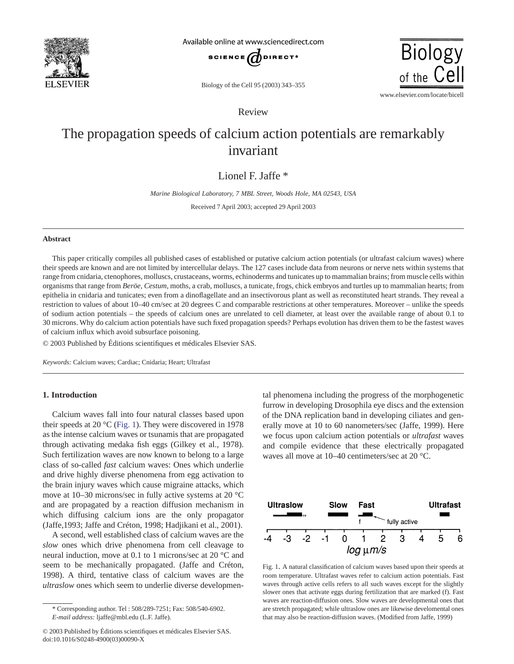

Available online at www.sciencedirect.com



Biology of the Cell 95 (2003) 343–355

www.elsevier.com/locate/bicell

**Biology** 

of the Cel

# Review

# The propagation speeds of calcium action potentials are remarkably invariant

# Lionel F. Jaffe \*

*Marine Biological Laboratory, 7 MBL Street, Woods Hole, MA 02543, USA*

Received 7 April 2003; accepted 29 April 2003

## **Abstract**

This paper critically compiles all published cases of established or putative calcium action potentials (or ultrafast calcium waves) where their speeds are known and are not limited by intercellular delays. The 127 cases include data from neurons or nerve nets within systems that range from cnidaria, ctenophores, molluscs, crustaceans, worms, echinoderms and tunicates up to mammalian brains; from muscle cells within organisms that range from *Beröe, Cestum,* moths, a crab, molluscs, a tunicate, frogs, chick embryos and turtles up to mammalian hearts; from epithelia in cnidaria and tunicates; even from a dinoflagellate and an insectivorous plant as well as reconstituted heart strands. They reveal a restriction to values of about 10–40 cm/sec at 20 degrees C and comparable restrictions at other temperatures. Moreover – unlike the speeds of sodium action potentials – the speeds of calcium ones are unrelated to cell diameter, at least over the available range of about 0.1 to 30 microns. Why do calcium action potentials have such fixed propagation speeds? Perhaps evolution has driven them to be the fastest waves of calcium influx which avoid subsurface poisoning.

© 2003 Published by Éditions scientifiques et médicales Elsevier SAS.

*Keywords:* Calcium waves; Cardiac; Cnidaria; Heart; Ultrafast

## **1. Introduction**

Calcium waves fall into four natural classes based upon their speeds at 20  $^{\circ}$ C (Fig. 1). They were discovered in 1978 as the intense calcium waves or tsunamis that are propagated through activating medaka fish eggs (Gilkey et al., 1978). Such fertilization waves are now known to belong to a large class of so-called *fast* calcium waves: Ones which underlie and drive highly diverse phenomena from egg activation to the brain injury waves which cause migraine attacks, which move at 10–30 microns/sec in fully active systems at 20 °C and are propagated by a reaction diffusion mechanism in which diffusing calcium ions are the only propagator (Jaffe,1993; Jaffe and Créton, 1998; Hadjikani et al., 2001).

A second, well established class of calcium waves are the *slow* ones which drive phenomena from cell cleavage to neural induction, move at 0.1 to 1 microns/sec at 20 °C and seem to be mechanically propagated. (Jaffe and Créton, 1998). A third, tentative class of calcium waves are the *ultraslow* ones which seem to underlie diverse developmental phenomena including the progress of the morphogenetic furrow in developing Drosophila eye discs and the extension of the DNA replication band in developing ciliates and generally move at 10 to 60 nanometers/sec (Jaffe, 1999). Here we focus upon calcium action potentials or *ultrafast* waves and compile evidence that these electrically propagated waves all move at 10–40 centimeters/sec at 20 °C.



Fig. 1. A natural classification of calcium waves based upon their speeds at room temperature. Ultrafast waves refer to calcium action potentials. Fast waves through active cells refers to all such waves except for the slightly slower ones that activate eggs during fertilization that are marked (f). Fast waves are reaction-diffusion ones. Slow waves are developmental ones that are stretch propagated; while ultraslow ones are likewise develomental ones that may also be reaction-diffusion waves. (Modified from Jaffe, 1999)

<sup>\*</sup> Corresponding author. Tel : 508/289-7251; Fax: 508/540-6902. *E-mail address:* ljaffe@mbl.edu (L.F. Jaffe).

<sup>© 2003</sup> Published by Éditions scientifiques et médicales Elsevier SAS. doi:10.1016/S0248-4900(03)00090-X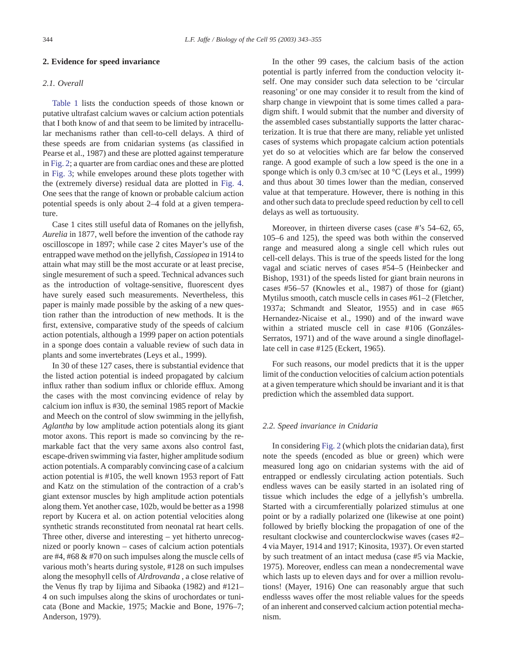#### **2. Evidence for speed invariance**

## *2.1. Overall*

[Table 1](#page-2-0) lists the conduction speeds of those known or putative ultrafast calcium waves or calcium action potentials that I both know of and that seem to be limited by intracellular mechanisms rather than cell-to-cell delays. A third of these speeds are from cnidarian systems (as classified in Pearse et al., 1987) and these are plotted against temperature in [Fig. 2;](#page-5-0) a quarter are from cardiac ones and these are plotted in [Fig. 3;](#page-5-0) while envelopes around these plots together with the (extremely diverse) residual data are plotted in [Fig. 4.](#page-6-0) One sees that the range of known or probable calcium action potential speeds is only about 2–4 fold at a given temperature.

Case 1 cites still useful data of Romanes on the jellyfish, *Aurelia* in 1877, well before the invention of the cathode ray oscilloscope in 1897; while case 2 cites Mayer's use of the entrapped wave method on the jellyfish, *Cassiopea* in 1914 to attain what may still be the most accurate or at least precise, single mesurement of such a speed. Technical advances such as the introduction of voltage-sensitive, fluorescent dyes have surely eased such measurements. Nevertheless, this paper is mainly made possible by the asking of a new question rather than the introduction of new methods. It is the first, extensive, comparative study of the speeds of calcium action potentials, although a 1999 paper on action potentials in a sponge does contain a valuable review of such data in plants and some invertebrates (Leys et al., 1999).

In 30 of these 127 cases, there is substantial evidence that the listed action potential is indeed propagated by calcium influx rather than sodium influx or chloride efflux. Among the cases with the most convincing evidence of relay by calcium ion influx is #30, the seminal 1985 report of Mackie and Meech on the control of slow swimming in the jellyfish, *Aglantha* by low amplitude action potentials along its giant motor axons. This report is made so convincing by the remarkable fact that the very same axons also control fast, escape-driven swimming via faster, higher amplitude sodium action potentials. A comparably convincing case of a calcium action potential is #105, the well known 1953 report of Fatt and Katz on the stimulation of the contraction of a crab's giant extensor muscles by high amplitude action potentials along them.Yet another case, 102b, would be better as a 1998 report by Kucera et al. on action potential velocities along synthetic strands reconstituted from neonatal rat heart cells. Three other, diverse and interesting – yet hitherto unrecognized or poorly known – cases of calcium action potentials are #4, #68 & #70 on such impulses along the muscle cells of various moth's hearts during systole, #128 on such impulses along the mesophyll cells of *Alrdrovanda* , a close relative of the Venus fly trap by Iijima and Sibaoka (1982) and #121– 4 on such impulses along the skins of urochordates or tunicata (Bone and Mackie, 1975; Mackie and Bone, 1976–7; Anderson, 1979).

In the other 99 cases, the calcium basis of the action potential is partly inferred from the conduction velocity itself. One may consider such data selection to be 'circular reasoning' or one may consider it to result from the kind of sharp change in viewpoint that is some times called a paradigm shift. I would submit that the number and diversity of the assembled cases substantially supports the latter characterization. It is true that there are many, reliable yet unlisted cases of systems which propagate calcium action potentials yet do so at velocities which are far below the conserved range. A good example of such a low speed is the one in a sponge which is only 0.3 cm/sec at 10 °C (Leys et al., 1999) and thus about 30 times lower than the median, conserved value at that temperature. However, there is nothing in this and other such data to preclude speed reduction by cell to cell delays as well as tortuousity.

Moreover, in thirteen diverse cases (case #'s 54–62, 65, 105–6 and 125), the speed was both within the conserved range and measured along a single cell which rules out cell-cell delays. This is true of the speeds listed for the long vagal and sciatic nerves of cases #54–5 (Heinbecker and Bishop, 1931) of the speeds listed for giant brain neurons in cases #56–57 (Knowles et al., 1987) of those for (giant) Mytilus smooth, catch muscle cells in cases #61–2 (Fletcher, 1937a; Schmandt and Sleator, 1955) and in case #65 Hernandez-Nicaise et al., 1990) and of the inward wave within a striated muscle cell in case #106 (Gonzáles-Serratos, 1971) and of the wave around a single dinoflagellate cell in case #125 (Eckert, 1965).

For such reasons, our model predicts that it is the upper limit of the conduction velocities of calcium action potentials at a given temperature which should be invariant and it is that prediction which the assembled data support.

#### *2.2. Speed invariance in Cnidaria*

In considering [Fig. 2](#page-5-0) (which plots the cnidarian data), first note the speeds (encoded as blue or green) which were measured long ago on cnidarian systems with the aid of entrapped or endlessly circulating action potentials. Such endless waves can be easily started in an isolated ring of tissue which includes the edge of a jellyfish's umbrella. Started with a circumferentially polarized stimulus at one point or by a radially polarized one (likewise at one point) followed by briefly blocking the propagation of one of the resultant clockwise and counterclockwise waves (cases #2– 4 via Mayer, 1914 and 1917; Kinosita, 1937). Or even started by such treatment of an intact medusa (case #5 via Mackie, 1975). Moreover, endless can mean a nondecremental wave which lasts up to eleven days and for over a million revolutions! (Mayer, 1916) One can reasonably argue that such endlesss waves offer the most reliable values for the speeds of an inherent and conserved calcium action potential mechanism.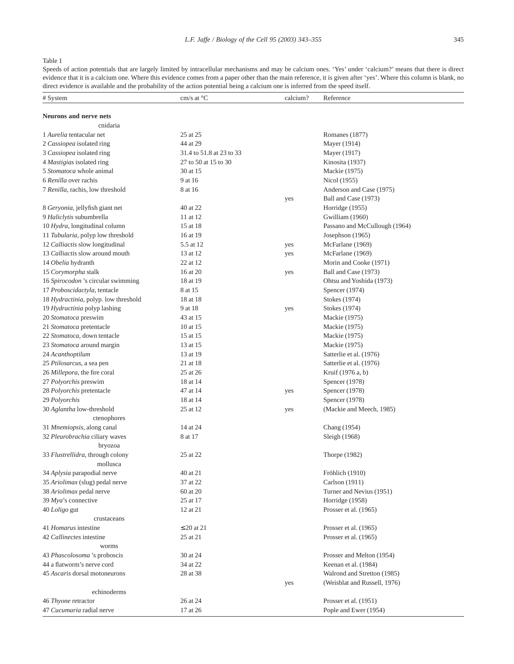# <span id="page-2-0"></span>Table 1

Speeds of action potentials that are largely limited by intracellular mechanisms and may be calcium ones. 'Yes' under 'calcium?' means that there is direct evidence that it is a calcium one. Where this evidence comes from a paper other than the main reference, it is given after 'yes'. Where this column is blank, no direct evidence is available and the probability of the action potential being a calcium one is inferred from the speed itself.

| # System                             | cm/s at $\mathrm{C}^{\circ}$ | calcium? | Reference                     |
|--------------------------------------|------------------------------|----------|-------------------------------|
|                                      |                              |          |                               |
| <b>Neurons and nerve nets</b>        |                              |          |                               |
| cnidaria                             |                              |          |                               |
| 1 Aurelia tentacular net             | 25 at 25                     |          | Romanes (1877)                |
| 2 Cassiopea isolated ring            | 44 at 29                     |          | Mayer (1914)                  |
| 3 Cassiopea isolated ring            | 31.4 to 51.8 at 23 to 33     |          | Mayer (1917)                  |
| 4 Mastigias isolated ring            | 27 to 50 at 15 to 30         |          | Kinosita (1937)               |
| 5 Stomatoca whole animal             | 30 at 15                     |          | Mackie (1975)                 |
| 6 Renilla over rachis                | 9 at 16                      |          | Nicol (1955)                  |
| 7 Renilla, rachis, low threshold     | 8 at 16                      |          | Anderson and Case (1975)      |
|                                      |                              | yes      | Ball and Case (1973)          |
| 8 Geryonia, jellyfish giant net      | 40 at 22                     |          | Horridge (1955)               |
| 9 Haliclytis subumbrella             | 11 at 12                     |          | Gwilliam (1960)               |
| 10 Hydra, longitudinal column        | 15 at 18                     |          | Passano and McCullough (1964) |
| 11 Tubularia, polyp low threshold    | 16 at 19                     |          | Josephson (1965)              |
| 12 Calliactis slow longitudinal      | 5.5 at 12                    | yes      | McFarlane (1969)              |
| 13 Calliactis slow around mouth      | 13 at 12                     | yes      | McFarlane (1969)              |
| 14 Obelia hydranth                   | 22 at 12                     |          | Morin and Cooke (1971)        |
| 15 Corymorpha stalk                  | 16 at 20                     | yes      | Ball and Case (1973)          |
| 16 Spirocodon's circular swimming    | 18 at 19                     |          | Ohtsu and Yoshida (1973)      |
| 17 Proboscidactyla, tentacle         | 8 at 15                      |          | Spencer (1974)                |
| 18 Hydractinia, polyp. low threshold | 18 at 18                     |          | Stokes (1974)                 |
| 19 Hydractinia polyp lashing         | 9 at 18                      | yes      | Stokes (1974)                 |
| 20 Stomatoca preswim                 | 43 at 15                     |          | Mackie (1975)                 |
| 21 Stomatoca pretentacle             | 10 at 15                     |          | Mackie (1975)                 |
| 22 Stomatoca, down tentacle          | 15 at 15                     |          | Mackie (1975)                 |
| 23 Stomatoca around margin           | 13 at 15                     |          | Mackie (1975)                 |
| 24 Acanthoptilum                     | 13 at 19                     |          | Satterlie et al. (1976)       |
| 25 Ptilosarcus, a sea pen            | 21 at 18                     |          | Satterlie et al. (1976)       |
| 26 Millepora, the fire coral         | 25 at 26                     |          | Kruif (1976 a, b)             |
| 27 Polyorchis preswim                | 18 at 14                     |          | Spencer (1978)                |
| 28 Polyorchis pretentacle            | 47 at 14                     | yes      | Spencer (1978)                |
| 29 Polyorchis                        | 18 at 14                     |          | Spencer (1978)                |
| 30 Aglantha low-threshold            | 25 at 12                     | yes      | (Mackie and Meech, 1985)      |
| ctenophores                          |                              |          |                               |
| 31 Mnemiopsis, along canal           | 14 at 24                     |          | Chang (1954)                  |
| 32 Pleurobrachia ciliary waves       | 8 at 17                      |          | Sleigh (1968)                 |
| bryozoa                              |                              |          |                               |
| 33 Flustrellidra, through colony     | 25 at 22                     |          | Thorpe (1982)                 |
| mollusca                             |                              |          |                               |
| 34 Aplysia parapodial nerve          | 40 at 21                     |          | Fröhlich (1910)               |
| 35 Ariolimax (slug) pedal nerve      | 37 at 22                     |          | Carlson (1911)                |
| 38 Ariolimax pedal nerve             | 60 at 20                     |          | Turner and Nevius (1951)      |
| 39 Mya's connective                  | 25 at 17                     |          | Horridge (1958)               |
| 40 Loligo gut                        | 12 at 21                     |          | Prosser et al. (1965)         |
| crustaceans                          |                              |          |                               |
| 41 Homarus intestine                 | $\leq$ 20 at 21              |          | Prosser et al. (1965)         |
| 42 Callinectes intestine             | 25 at 21                     |          | Prosser et al. (1965)         |
| worms                                |                              |          |                               |
| 43 Phascolosoma 's proboscis         | 30 at 24                     |          | Prosser and Melton (1954)     |
| 44 a flatworm's nerve cord           | 34 at 22                     |          | Keenan et al. (1984)          |
| 45 Ascaris dorsal motoneurons        | 28 at 38                     |          | Walrond and Stretton (1985)   |
|                                      |                              | yes      | (Weisblat and Russell, 1976)  |
| echinoderms                          |                              |          |                               |
| 46 Thyone retractor                  | 26 at 24                     |          | Prosser et al. (1951)         |
| 47 Cucumaria radial nerve            | 17 at 26                     |          | Pople and Ewer (1954)         |
|                                      |                              |          |                               |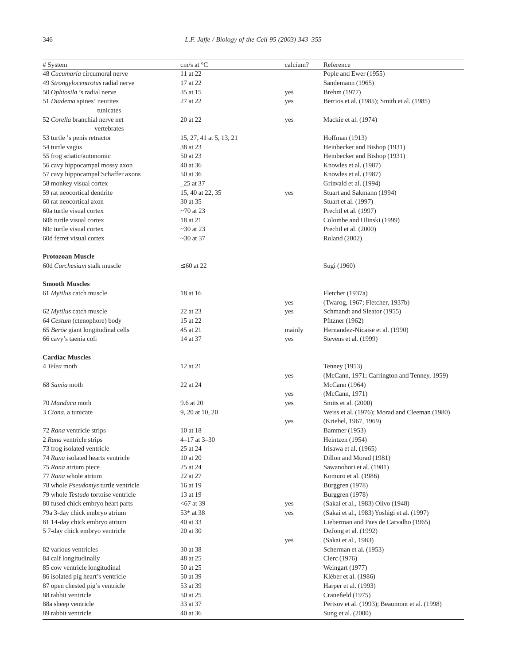| # System                            | cm/s at $\mathrm{^{\circ}C}$ | calcium? | Reference                                     |
|-------------------------------------|------------------------------|----------|-----------------------------------------------|
| 48 Cucumaria circumoral nerve       | 11 at 22                     |          | Pople and Ewer (1955)                         |
| 49 Strongylocentrotus radial nerve  | 17 at 22                     |          | Sandemann (1965)                              |
|                                     |                              |          |                                               |
| 50 Ophiosila 's radial nerve        | 35 at 15                     | yes      | Brehm (1977)                                  |
| 51 Diadema spines' neurites         | 27 at 22                     | yes      | Berrios et al. (1985); Smith et al. (1985)    |
| tunicates                           |                              |          |                                               |
| 52 Corella branchial nerve net      | 20 at 22                     | yes      | Mackie et al. (1974)                          |
| vertebrates                         |                              |          |                                               |
| 53 turtle 's penis retractor        | 15, 27, 41 at 5, 13, 21      |          | Hoffman (1913)                                |
| 54 turtle vagus                     | 38 at 23                     |          | Heinbecker and Bishop (1931)                  |
| 55 frog sciatic/autonomic           | 50 at 23                     |          | Heinbecker and Bishop (1931)                  |
| 56 cavy hippocampal mossy axon      | 40 at 36                     |          | Knowles et al. (1987)                         |
| 57 cavy hippocampal Schaffer axons  | 50 at 36                     |          | Knowles et al. (1987)                         |
| 58 monkey visual cortex             | $\_25$ at 37                 |          | Grinvald et al. (1994)                        |
| 59 rat neocortical dendrite         | 15, 40 at 22, 35             | yes      | Stuart and Sakmann (1994)                     |
| 60 rat neocortical axon             | 30 at 35                     |          |                                               |
|                                     |                              |          | Stuart et al. (1997)                          |
| 60a turtle visual cortex            | $\sim$ 70 at 23              |          | Prechtl et al. (1997)                         |
| 60b turtle visual cortex            | 18 at 21                     |          | Colombe and Ulinski (1999)                    |
| 60c turtle visual cortex            | $\sim$ 30 at 23              |          | Prechtl et al. (2000)                         |
| 60d ferret visual cortex            | $\sim$ 30 at 37              |          | Roland (2002)                                 |
|                                     |                              |          |                                               |
| <b>Protozoan Muscle</b>             |                              |          |                                               |
| 60d Carchesium stalk muscle         | $\leq 60$ at 22              |          | Sugi (1960)                                   |
|                                     |                              |          |                                               |
| <b>Smooth Muscles</b>               |                              |          |                                               |
| 61 Mytilus catch muscle             | 18 at 16                     |          | Fletcher (1937a)                              |
|                                     |                              | yes      | (Twarog, 1967; Fletcher, 1937b)               |
| 62 Mytilus catch muscle             | 22 at 23                     | yes      | Schmandt and Sleator (1955)                   |
| 64 Cestum (ctenophore) body         | 15 at 22                     |          | Pfitzner (1962)                               |
|                                     |                              |          |                                               |
| 65 Beröe giant longitudinal cells   | 45 at 21                     | mainly   | Hernandez-Nicaise et al. (1990)               |
| 66 cavy's taenia coli               | 14 at 37                     | yes      | Stevens et al. (1999)                         |
|                                     |                              |          |                                               |
| <b>Cardiac Muscles</b>              |                              |          |                                               |
| 4 Telea moth                        | 12 at 21                     |          | Tenney (1953)                                 |
|                                     |                              | yes      | (McCann, 1971; Carrington and Tenney, 1959)   |
| 68 Samia moth                       | 22 at 24                     |          | McCann (1964)                                 |
|                                     |                              | yes      | (McCann, 1971)                                |
| 70 Manduca moth                     | 9.6 at 20                    | yes      | Smits et al. (2000)                           |
| 3 Ciona, a tunicate                 | 9, 20 at 10, 20              |          | Weiss et al. (1976); Morad and Cleeman (1980) |
|                                     |                              | yes      | (Kriebel, 1967, 1969)                         |
| 72 Rana ventricle strips            | 10 at 18                     |          | <b>Bammer</b> (1953)                          |
| 2 Rana ventricle strips             | $4-17$ at $3-30$             |          | Heintzen (1954)                               |
|                                     | 25 at 24                     |          | Irisawa et al. (1965)                         |
| 73 frog isolated ventricle          |                              |          |                                               |
| 74 Rana isolated hearts ventricle   | 10 at 20                     |          | Dillon and Morad (1981)                       |
| 75 Rana atrium piece                | 25 at 24                     |          | Sawanobori et al. (1981)                      |
| 77 Rana whole atrium                | 22 at 27                     |          | Komuro et al. (1986)                          |
| 78 whole Pseudomys turtle ventricle | 16 at 19                     |          | Burggren (1978)                               |
| 79 whole Testudo tortoise ventricle | 13 at 19                     |          | Burggren (1978)                               |
| 80 fused chick embryo heart parts   | $<$ 67 at 39                 | yes      | (Sakai et al., 1983) Olivo (1948)             |
| 79a 3-day chick embryo atrium       | 53* at 38                    | yes      | (Sakai et al., 1983) Yoshigi et al. (1997)    |
| 81 14-day chick embryo atrium       | 40 at 33                     |          | Lieberman and Paes de Carvalho (1965)         |
| 57-day chick embryo ventricle       | 20 at 30                     |          | DeJong et al. (1992)                          |
|                                     |                              | yes      | (Sakai et al., 1983)                          |
| 82 various ventricles               | 30 at 38                     |          | Scherman et al. (1953)                        |
| 84 calf longitudinally              | 48 at 25                     |          | Clerc (1976)                                  |
|                                     |                              |          |                                               |
| 85 cow ventricle longitudinal       | 50 at 25                     |          | Weingart (1977)                               |
| 86 isolated pig heart's ventricle   | 50 at 39                     |          | Kléber et al. (1986)                          |
| 87 open chested pig's ventricle     | 53 at 39                     |          | Harper et al. (1993)                          |
| 88 rabbit ventricle                 | 50 at 25                     |          | Cranefield (1975)                             |
| 88a sheep ventricle                 | 33 at 37                     |          | Pertsov et al. (1993); Beaumont et al. (1998) |
| 89 rabbit ventricle                 | 40 at 36                     |          | Sung et al. (2000)                            |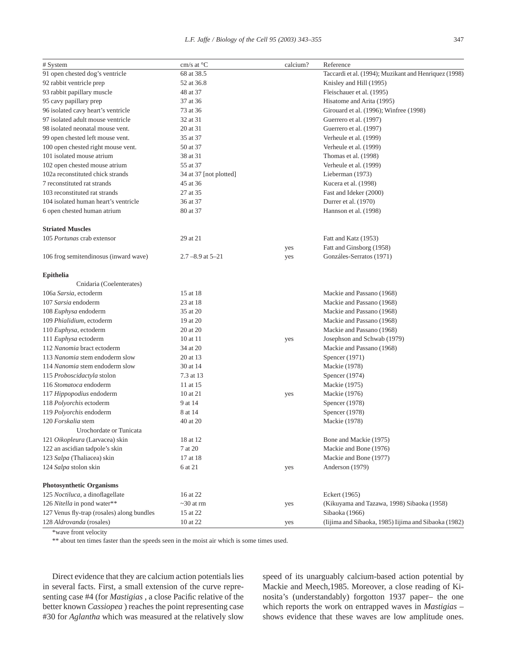| # System                                   | cm/s at °C              | calcium? | Reference                                             |
|--------------------------------------------|-------------------------|----------|-------------------------------------------------------|
| 91 open chested dog's ventricle            | 68 at 38.5              |          | Taccardi et al. (1994); Muzikant and Henriquez (1998) |
| 92 rabbit ventricle prep                   | 52 at 36.8              |          | Knisley and Hill (1995)                               |
| 93 rabbit papillary muscle                 | 48 at 37                |          | Fleischauer et al. (1995)                             |
| 95 cavy papillary prep                     | 37 at 36                |          | Hisatome and Arita (1995)                             |
| 96 isolated cavy heart's ventricle         | 73 at 36                |          | Girouard et al. (1996); Winfree (1998)                |
| 97 isolated adult mouse ventricle          | 32 at 31                |          | Guerrero et al. (1997)                                |
| 98 isolated neonatal mouse vent.           | 20 at 31                |          | Guerrero et al. (1997)                                |
| 99 open chested left mouse vent.           | 35 at 37                |          | Verheule et al. (1999)                                |
| 100 open chested right mouse vent.         | 50 at 37                |          | Verheule et al. (1999)                                |
| 101 isolated mouse atrium                  | 38 at 31                |          | Thomas et al. (1998)                                  |
| 102 open chested mouse atrium              | 55 at 37                |          | Verheule et al. (1999)                                |
| 102a reconstituted chick strands           | 34 at 37 [not plotted]  |          | Lieberman (1973)                                      |
| 7 reconstituted rat strands                | 45 at 36                |          | Kucera et al. (1998)                                  |
| 103 reconstituted rat strands              | 27 at 35                |          | Fast and Ideker (2000)                                |
| 104 isolated human heart's ventricle       | 36 at 37                |          | Durrer et al. (1970)                                  |
| 6 open chested human atrium                | 80 at 37                |          | Hannson et al. (1998)                                 |
|                                            |                         |          |                                                       |
| <b>Striated Muscles</b>                    |                         |          |                                                       |
| 105 <i>Portunas</i> crab extensor          | 29 at 21                |          | Fatt and Katz (1953)                                  |
|                                            |                         | yes      | Fatt and Ginsborg (1958)                              |
| 106 frog semitendinosus (inward wave)      | $2.7 - 8.9$ at $5 - 21$ | yes      | Gonzáles-Serratos (1971)                              |
| <b>Epithelia</b>                           |                         |          |                                                       |
| Cnidaria (Coelenterates)                   |                         |          |                                                       |
| 106a Sarsia, ectoderm                      | 15 at 18                |          | Mackie and Passano (1968)                             |
| 107 Sarsia endoderm                        | 23 at 18                |          | Mackie and Passano (1968)                             |
| 108 <i>Euphysa</i> endoderm                | 35 at 20                |          | Mackie and Passano (1968)                             |
| 109 Phialidium, ectoderm                   | 19 at 20                |          | Mackie and Passano (1968)                             |
| 110 Euphysa, ectoderm                      | 20 at 20                |          | Mackie and Passano (1968)                             |
| 111 Euphysa ectoderm                       | 10 at 11                |          | Josephson and Schwab (1979)                           |
| 112 Nanomia bract ectoderm                 | 34 at 20                | yes      | Mackie and Passano (1968)                             |
|                                            |                         |          |                                                       |
| 113 Nanomia stem endoderm slow             | 20 at 13                |          | Spencer (1971)                                        |
| 114 Nanomia stem endoderm slow             | 30 at 14                |          | Mackie (1978)                                         |
| 115 Proboscidactyla stolon                 | 7.3 at 13               |          | Spencer $(1974)$                                      |
| 116 Stomatoca endoderm                     | 11 at 15                |          | Mackie (1975)                                         |
| 117 Hippopodius endoderm                   | 10 at 21                | yes      | Mackie (1976)                                         |
| 118 Polyorchis ectoderm                    | 9 at 14                 |          | Spencer (1978)                                        |
| 119 Polyorchis endoderm                    | 8 at 14                 |          | Spencer (1978)                                        |
| 120 Forskalia stem                         | 40 at 20                |          | Mackie (1978)                                         |
| Urochordate or Tunicata                    |                         |          |                                                       |
| 121 Oikopleura (Larvacea) skin             | 18 at 12                |          | Bone and Mackie (1975)                                |
| 122 an ascidian tadpole's skin             | 7 at 20                 |          | Mackie and Bone (1976)                                |
| 123 Salpa (Thaliacea) skin                 | 17 at 18                |          | Mackie and Bone (1977)                                |
| 124 Salpa stolon skin                      | 6 at 21                 | yes      | Anderson (1979)                                       |
| <b>Photosynthetic Organisms</b>            |                         |          |                                                       |
| 125 Noctiluca, a dinoflagellate            | 16 at 22                |          | Eckert (1965)                                         |
| 126 Nitella in pond water**                | $\sim$ 30 at rm         | yes      | (Kikuyama and Tazawa, 1998) Sibaoka (1958)            |
| 127 Venus fly-trap (rosales) along bundles | 15 at 22                |          | Sibaoka (1966)                                        |
| 128 Aldrovanda (rosales)                   | 10 at 22                | yes      | (Iijima and Sibaoka, 1985) Iijima and Sibaoka (1982)  |

\*wave front velocity

\*\* about ten times faster than the speeds seen in the moist air which is some times used.

Direct evidence that they are calcium action potentials lies in several facts. First, a small extension of the curve representing case #4 (for *Mastigias* , a close Pacific relative of the better known *Cassiopea* ) reaches the point representing case #30 for *Aglantha* which was measured at the relatively slow

speed of its unarguably calcium-based action potential by Mackie and Meech,1985. Moreover, a close reading of Kinosita's (understandably) forgotton 1937 paper– the one which reports the work on entrapped waves in *Mastigias* – shows evidence that these waves are low amplitude ones.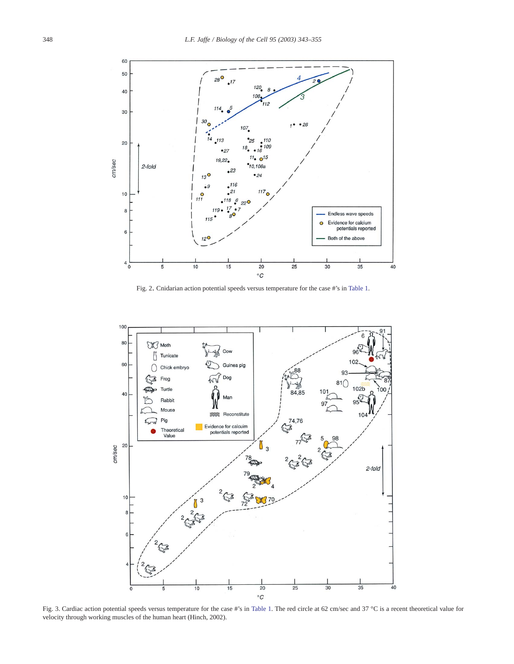<span id="page-5-0"></span>

Fig. 2. Cnidarian action potential speeds versus temperature for the case #'s in [Table 1.](#page-2-0)



Fig. 3. Cardiac action potential speeds versus temperature for the case #'s in [Table 1.](#page-2-0) The red circle at 62 cm/sec and 37 °C is a recent theoretical value for velocity through working muscles of the human heart (Hinch, 2002).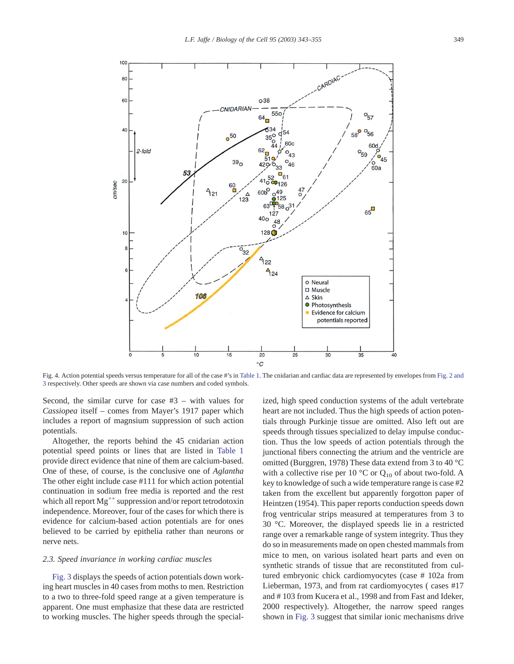<span id="page-6-0"></span>

Fig. 4. Action potential speeds versus temperature for all of the case #'s in [Table 1.](#page-2-0) The cnidarian and cardiac data are represented by envelopes from [Fig. 2 and](#page-5-0) [3](#page-5-0) respectively. Other speeds are shown via case numbers and coded symbols.

Second, the similar curve for case #3 – with values for *Cassiopea* itself – comes from Mayer's 1917 paper which includes a report of magnsium suppression of such action potentials.

Altogether, the reports behind the 45 cnidarian action potential speed points or lines that are listed in [Table 1](#page-2-0) provide direct evidence that nine of them are calcium-based. One of these, of course, is the conclusive one of *Aglantha* The other eight include case #111 for which action potential continuation in sodium free media is reported and the rest which all report  $Mg^{++}$  suppression and/or report tetrodotoxin independence. Moreover, four of the cases for which there is evidence for calcium-based action potentials are for ones believed to be carried by epithelia rather than neurons or nerve nets.

#### *2.3. Speed invariance in working cardiac muscles*

[Fig. 3](#page-5-0) displays the speeds of action potentials down working heart muscles in 40 cases from moths to men. Restriction to a two to three-fold speed range at a given temperature is apparent. One must emphasize that these data are restricted to working muscles. The higher speeds through the specialized, high speed conduction systems of the adult vertebrate heart are not included. Thus the high speeds of action potentials through Purkinje tissue are omitted. Also left out are speeds through tissues specialized to delay impulse conduction. Thus the low speeds of action potentials through the junctional fibers connecting the atrium and the ventricle are omitted (Burggren, 1978) These data extend from 3 to 40 °C with a collective rise per 10  $^{\circ}$ C or Q<sub>10</sub> of about two-fold. A key to knowledge of such a wide temperature range is case #2 taken from the excellent but apparently forgotton paper of Heintzen (1954). This paper reports conduction speeds down frog ventricular strips measured at temperatures from 3 to 30 °C. Moreover, the displayed speeds lie in a restricted range over a remarkable range of system integrity. Thus they do so in measurements made on open chested mammals from mice to men, on various isolated heart parts and even on synthetic strands of tissue that are reconstituted from cultured embryonic chick cardiomyocytes (case # 102a from Lieberman, 1973, and from rat cardiomyocytes ( cases #17 and # 103 from Kucera et al., 1998 and from Fast and Ideker, 2000 respectively). Altogether, the narrow speed ranges shown in [Fig. 3](#page-5-0) suggest that similar ionic mechanisms drive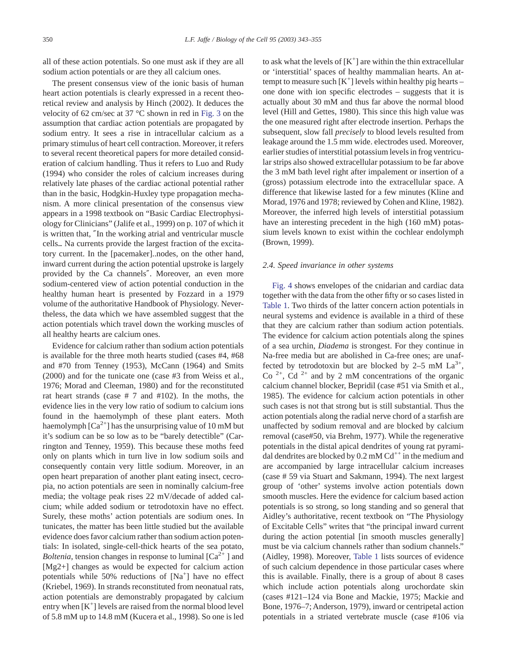all of these action potentials. So one must ask if they are all sodium action potentials or are they all calcium ones.

The present consensus view of the ionic basis of human heart action potentials is clearly expressed in a recent theoretical review and analysis by Hinch (2002). It deduces the velocity of 62 cm/sec at 37 °C shown in red in [Fig. 3](#page-5-0) on the assumption that cardiac action potentials are propagated by sodium entry. It sees a rise in intracellular calcium as a primary stimulus of heart cell contraction. Moreover, it refers to several recent theoretical papers for more detailed consideration of calcium handling. Thus it refers to Luo and Rudy (1994) who consider the roles of calcium increases during relatively late phases of the cardiac actional potential rather than in the basic, Hodgkin-Huxley type propagation mechanism. A more clinical presentation of the consensus view appears in a 1998 textbook on "Basic Cardiac Electrophysiology for Clinicians" (Jalife et al., 1999) on p. 107 of which it is written that, ″In the working atrial and ventricular muscle cells... Na currents provide the largest fraction of the excitatory current. In the [pacemaker]..nodes, on the other hand, inward current during the action potential upstroke is largely provided by the Ca channels″. Moreover, an even more sodium-centered view of action potential conduction in the healthy human heart is presented by Fozzard in a 1979 volume of the authoritative Handbook of Physiology. Nevertheless, the data which we have assembled suggest that the action potentials which travel down the working muscles of all healthy hearts are calcium ones.

Evidence for calcium rather than sodium action potentials is available for the three moth hearts studied (cases #4, #68 and #70 from Tenney (1953), McCann (1964) and Smits (2000) and for the tunicate one (case #3 from Weiss et al., 1976; Morad and Cleeman, 1980) and for the reconstituted rat heart strands (case  $# 7$  and  $#102$ ). In the moths, the evidence lies in the very low ratio of sodium to calcium ions found in the haemolymph of these plant eaters. Moth haemolymph  $[Ca^{2+}]$  has the unsurprising value of 10 mM but it's sodium can be so low as to be "barely detectible" (Carrington and Tenney, 1959). This because these moths feed only on plants which in turn live in low sodium soils and consequently contain very little sodium. Moreover, in an open heart preparation of another plant eating insect, cecropia, no action potentials are seen in nominally calcium-free media; the voltage peak rises 22 mV/decade of added calcium; while added sodium or tetrodotoxin have no effect. Surely, these moths' action potentials are sodium ones. In tunicates, the matter has been little studied but the available evidence does favor calcium rather than sodium action potentials: In isolated, single-cell-thick hearts of the sea potato, *Boltenia*, tension changes in response to luminal  $[Ca^{2+}]$  and [Mg2+] changes as would be expected for calcium action potentials while 50% reductions of [Na<sup>+</sup>] have no effect (Kriebel, 1969). In strands reconstituted from neonatual rats, action potentials are demonstrably propagated by calcium entry when  $[K^+]$  levels are raised from the normal blood level of 5.8 mM up to 14.8 mM (Kucera et al., 1998). So one is led

to ask what the levels of  $[K^+]$  are within the thin extracellular or 'interstitial' spaces of healthy mammalian hearts. An attempt to measure such  $[K^+]$  levels within healthy pig hearts – one done with ion specific electrodes – suggests that it is actually about 30 mM and thus far above the normal blood level (Hill and Gettes, 1980). This since this high value was the one measured right after electrode insertion. Perhaps the subsequent, slow fall *precisely* to blood levels resulted from leakage around the 1.5 mm wide. electrodes used. Moreover, earlier studies of interstitial potassium levels in frog ventricular strips also showed extracellular potassium to be far above the 3 mM bath level right after impalement or insertion of a (gross) potassium electrode into the extracellular space. A difference that likewise lasted for a few minutes (Kline and Morad, 1976 and 1978; reviewed by Cohen and Kline, 1982). Moreover, the inferred high levels of interstitial potassium have an interesting precedent in the high (160 mM) potassium levels known to exist within the cochlear endolymph (Brown, 1999).

#### *2.4. Speed invariance in other systems*

[Fig. 4](#page-6-0) shows envelopes of the cnidarian and cardiac data together with the data from the other fifty or so cases listed in [Table 1.](#page-2-0) Two thirds of the latter concern action potentials in neural systems and evidence is available in a third of these that they are calcium rather than sodium action potentials. The evidence for calcium action potentials along the spines of a sea urchin, *Diadema* is strongest. For they continue in Na-free media but are abolished in Ca-free ones; are unaffected by tetrodotoxin but are blocked by  $2-5$  mM  $La^{3+}$ , Co  $2+$ , Cd  $2+$  and by 2 mM concentrations of the organic calcium channel blocker, Bepridil (case #51 via Smith et al., 1985). The evidence for calcium action potentials in other such cases is not that strong but is still substantial. Thus the action potentials along the radial nerve chord of a starfish are unaffected by sodium removal and are blocked by calcium removal (case#50, via Brehm, 1977). While the regenerative potentials in the distal apical dendrites of young rat pyramidal dendrites are blocked by  $0.2 \text{ mM } Cd^{++}$  in the medium and are accompanied by large intracellular calcium increases (case # 59 via Stuart and Sakmann, 1994). The next largest group of 'other' systems involve action potentials down smooth muscles. Here the evidence for calcium based action potentials is so strong, so long standing and so general that Aidley's authoritative, recent textbook on "The Physiology of Excitable Cells" writes that "the principal inward current during the action potential [in smooth muscles generally] must be via calcium channels rather than sodium channels." (Aidley, 1998). Moreover, [Table 1](#page-2-0) lists sources of evidence of such calcium dependence in those particular cases where this is available. Finally, there is a group of about 8 cases which include action potentials along urochordate skin (cases #121–124 via Bone and Mackie, 1975; Mackie and Bone, 1976–7; Anderson, 1979), inward or centripetal action potentials in a striated vertebrate muscle (case #106 via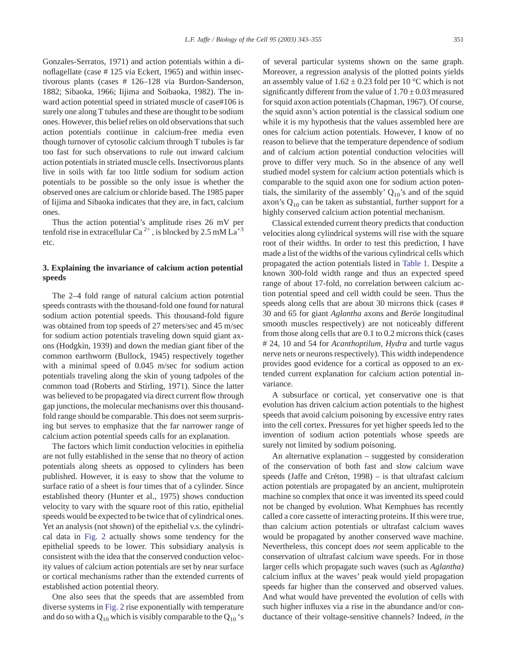Gonzales-Serratos, 1971) and action potentials within a dinoflagellate (case # 125 via Eckert, 1965) and within insectivorous plants (cases # 126–128 via Burdon-Sanderson, 1882; Sibaoka, 1966; Iijima and Soibaoka, 1982). The inward action potential speed in striated muscle of case#106 is surely one along T tubules and these are thought to be sodium ones. However, this belief relies on old observations that such action potentials contiinue in calcium-free media even though turnover of cytosolic calcium through T tubules is far too fast for such observations to rule out inward calcium action potentials in striated muscle cells. Insectivorous plants live in soils with far too little sodium for sodium action potentials to be possible so the only issue is whether the observed ones are calcium or chloride based. The 1985 paper of Iijima and Sibaoka indicates that they are, in fact, calcium ones.

Thus the action potential's amplitude rises 26 mV per tenfold rise in extracellular Ca<sup>2+</sup>, is blocked by 2.5 mM  $La^{+3}$ etc.

## **3. Explaining the invariance of calcium action potential speeds**

The 2–4 fold range of natural calcium action potential speeds contrasts with the thousand-fold one found for natural sodium action potential speeds. This thousand-fold figure was obtained from top speeds of 27 meters/sec and 45 m/sec for sodium action potentials traveling down squid giant axons (Hodgkin, 1939) and down the median giant fiber of the common earthworm (Bullock, 1945) respectively together with a minimal speed of 0.045 m/sec for sodium action potentials traveling along the skin of young tadpoles of the common toad (Roberts and Stirling, 1971). Since the latter was believed to be propagated via direct current flow through gap junctions, the molecular mechanisms over this thousandfold range should be comparable. This does not seem surprising but serves to emphasize that the far narrower range of calcium action potential speeds calls for an explanation.

The factors which limit conduction velocities in epithelia are not fully established in the sense that no theory of action potentials along sheets as opposed to cylinders has been published. However, it is easy to show that the volume to surface ratio of a sheet is four times that of a cylinder. Since established theory (Hunter et al., 1975) shows conduction velocity to vary with the square root of this ratio, epithelial speeds would be expected to be twice that of cylindrical ones. Yet an analysis (not shown) of the epithelial v.s. the cylindrical data in [Fig. 2](#page-5-0) actually shows some tendency for the epithelial speeds to be lower. This subsidiary analysis is consistent with the idea that the conserved conduction velocity values of calcium action potentials are set by near surface or cortical mechanisms rather than the extended currents of established action potential theory.

One also sees that the speeds that are assembled from diverse systems in [Fig. 2](#page-5-0) rise exponentially with temperature and do so with a  $Q_{10}$  which is visibly comparable to the  $Q_{10}$  's of several particular systems shown on the same graph. Moreover, a regression analysis of the plotted points yields an assembly value of  $1.62 \pm 0.23$  fold per 10 °C which is not significantly different from the value of  $1.70 \pm 0.03$  measured for squid axon action potentials (Chapman, 1967). Of course, the squid axon's action potential is the classical sodium one while it is my hypothesis that the values assembled here are ones for calcium action potentials. However, I know of no reason to believe that the temperature dependence of sodium and of calcium action potential conduction velocities will prove to differ very much. So in the absence of any well studied model system for calcium action potentials which is comparable to the squid axon one for sodium action potentials, the similarity of the assembly'  $Q_{10}$ 's and of the squid axon's  $Q_{10}$  can be taken as substantial, further support for a highly conserved calcium action potential mechanism.

Classical extended current theory predicts that conduction velocities along cylindrical systems will rise with the square root of their widths. In order to test this prediction, I have made a list of the widths of the various cylindrical cells which propagated the action potentials listed in [Table 1.](#page-2-0) Despite a known 300-fold width range and thus an expected speed range of about 17-fold, no correlation between calcium action potential speed and cell width could be seen. Thus the speeds along cells that are about 30 microns thick (cases # 30 and 65 for giant *Aglantha* axons and *Beröe* longitudinal smooth muscles respectively) are not noticeably different from those along cells that are 0.1 to 0.2 microns thick (cases # 24, 10 and 54 for *Acanthoptilum, Hydra* and turtle vagus nerve nets or neurons respectively). This width independence provides good evidence for a cortical as opposed to an extended current explanation for calcium action potential invariance.

A subsurface or cortical, yet conservative one is that evolution has driven calcium action potentials to the highest speeds that avoid calcium poisoning by excessive entry rates into the cell cortex. Pressures for yet higher speeds led to the invention of sodium action potentials whose speeds are surely not limited by sodium poisoning.

An alternative explanation – suggested by consideration of the conservation of both fast and slow calcium wave speeds (Jaffe and Créton, 1998) – is that ultrafast calcium action potentials are propagated by an ancient, multiprotein machine so complex that once it was invented its speed could not be changed by evolution. What Kemphues has recently called a core cassette of interacting proteins. If this were true, than calcium action potentials or ultrafast calcium waves would be propagated by another conserved wave machine. Nevertheless, this concept does *not* seem applicable to the conservation of ultrafast calcium wave speeds. For in those larger cells which propagate such waves (such as *Aglantha)* calcium influx at the waves' peak would yield propagation speeds far higher than the conserved and observed values. And what would have prevented the evolution of cells with such higher influxes via a rise in the abundance and/or conductance of their voltage-sensitive channels? Indeed, *in* the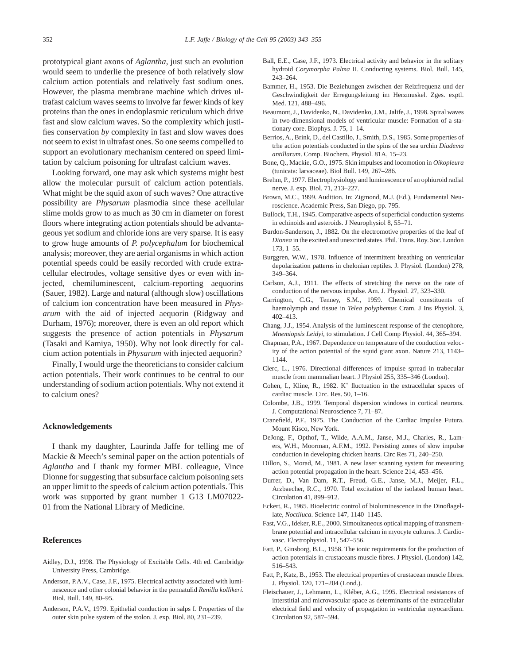prototypical giant axons of *Aglantha*, just such an evolution would seem to underlie the presence of both relatively slow calcium action potentials and relatively fast sodium ones. However, the plasma membrane machine which drives ultrafast calcium waves seems to involve far fewer kinds of key proteins than the ones in endoplasmic reticulum which drive fast and slow calcium waves. So the complexity which justifies conservation *by* complexity in fast and slow waves does not seem to exist in ultrafast ones. So one seems compelled to support an evolutionary mechanism centered on speed limitation by calcium poisoning for ultrafast calcium waves.

Looking forward, one may ask which systems might best allow the molecular pursuit of calcium action potentials. What might be the squid axon of such waves? One attractive possibility are *Physarum* plasmodia since these acellular slime molds grow to as much as 30 cm in diameter on forest floors where integrating action potentials should be advantageous yet sodium and chloride ions are very sparse. It is easy to grow huge amounts of *P. polycephalum* for biochemical analysis; moreover, they are aerial organisms in which action potential speeds could be easily recorded with crude extracellular electrodes, voltage sensitive dyes or even with injected, chemiluminescent, calcium-reporting aequorins (Sauer, 1982). Large and natural (although slow) oscillations of calcium ion concentration have been measured in *Physarum* with the aid of injected aequorin (Ridgway and Durham, 1976); moreover, there is even an old report which suggests the presence of action potentials in *Physarum* (Tasaki and Kamiya, 1950). Why not look directly for calcium action potentials in *Physarum* with injected aequorin?

Finally, I would urge the theoreticians to consider calcium action potentials. Their work continues to be central to our understanding of sodium action potentials. Why not extend it to calcium ones?

#### **Acknowledgements**

I thank my daughter, Laurinda Jaffe for telling me of Mackie & Meech's seminal paper on the action potentials of *Aglantha* and I thank my former MBL colleague, Vince Dionne for suggesting that subsurface calcium poisoning sets an upper limit to the speeds of calcium action potentials. This work was supported by grant number 1 G13 LM07022- 01 from the National Library of Medicine.

### **References**

- Aidley, D.J., 1998. The Physiology of Excitable Cells. 4th ed. Cambridge University Press, Cambridge.
- Anderson, P.A.V., Case, J.F., 1975. Electrical activity associated with luminescence and other colonial behavior in the pennatulid *Renilla kollikeri*. Biol. Bull. 149, 80–95.
- Anderson, P.A.V., 1979. Epithelial conduction in salps I. Properties of the outer skin pulse system of the stolon. J. exp. Biol. 80, 231–239.
- Ball, E.E., Case, J.F., 1973. Electrical activity and behavior in the solitary hydroid *Corymorpha Palma* II. Conducting systems. Biol. Bull. 145, 243–264.
- Bammer, H., 1953. Die Beziehungen zwischen der Reizfrequenz und der Geschwindigkeit der Erregungsleitung im Herzmuskel. Zges. exptl. Med. 121, 488–496.
- Beaumont, J., Davidenko, N., Davidenko, J.M., Jalife, J., 1998. Spiral waves in two-dimensional models of ventricular muscle: Formation of a stationary core. Biophys. J. 75, 1–14.
- Berrios, A., Brink, D., del Castillo, J., Smith, D.S., 1985. Some properties of trhe action potentials conducted in the spins of the sea urchin *Diadema antillarum*. Comp. Biochem. Physiol. 81A, 15–23.
- Bone, Q., Mackie, G.O., 1975. Skin impulses and locomotion in *Oikopleura* (tunicata: larvaceae). Biol Bull. 149, 267–286.
- Brehm, P., 1977. Electrophysiology and luminescence of an ophiuroid radial nerve. J. exp. Biol. 71, 213–227.
- Brown, M.C., 1999. Audition. In: Zigmond, M.J. (Ed.), Fundamental Neuroscience. Academic Press, San Diego, pp. 795.
- Bullock, T.H., 1945. Comparative aspects of superficial conduction systems in echinoids and asteroids. J Neurophysiol 8, 55–71.
- Burdon-Sanderson, J., 1882. On the electromotive properties of the leaf of *Dionea* in the excited and unexcited states. Phil. Trans. Roy. Soc. London 173, 1–55.
- Burggren, W.W., 1978. Influence of intermittent breathing on ventricular depolarization patterns in chelonian reptiles. J. Physiol. (London) 278, 349–364.
- Carlson, A.J., 1911. The effects of stretching the nerve on the rate of conduction of the nervous impulse. Am. J. Physiol. 27, 323–330.
- Carrington, C.G., Tenney, S.M., 1959. Chemical constituents of haemolymph and tissue in *Telea polyphemus* Cram. J Ins Physiol. 3, 402–413.
- Chang, J.J., 1954. Analysis of the luminescent response of the ctenophore, *Mnemiopsis Leidyi*, to stimulation. J Cell Comp Physiol. 44, 365–394.
- Chapman, P.A., 1967. Dependence on temperature of the conduction velocity of the action potential of the squid giant axon. Nature 213, 1143– 1144.
- Clerc, L., 1976. Directional differences of impulse spread in trabecular muscle from mammalian heart. J Physiol 255, 335–346 (London).
- Cohen, I., Kline, R., 1982.  $K^+$  fluctuation in the extracellular spaces of cardiac muscle. Circ. Res. 50, 1–16.
- Colombe, J.B., 1999. Temporal dispersion windows in cortical neurons. J. Computational Neuroscience 7, 71–87.
- Cranefield, P.F., 1975. The Conduction of the Cardiac Impulse Futura. Mount Kisco, New York.
- DeJong, F., Opthof, T., Wilde, A.A.M., Janse, M.J., Charles, R., Lamers, W.H., Moorman, A.F.M., 1992. Persisting zones of slow impulse conduction in developing chicken hearts. Circ Res 71, 240–250.
- Dillon, S., Morad, M., 1981. A new laser scanning system for measuring action potential propagation in the heart. Science 214, 453–456.
- Durrer, D., Van Dam, R.T., Freud, G.E., Janse, M.J., Meijer, F.L., Arzbaecher, R.C., 1970. Total excitation of the isolated human heart. Circulation 41, 899–912.
- Eckert, R., 1965. Bioelectric control of bioluminescence in the Dinoflagellate, *Noctiluca*. Science 147, 1140–1145.
- Fast, V.G., Ideker, R.E., 2000. Simoultaneous optical mapping of transmembrane potential and intracellular calcium in myocyte cultures. J. Cardiovasc. Electrophysiol. 11, 547–556.
- Fatt, P., Ginsborg, B.L., 1958. The ionic requirements for the production of action potentials in crustaceans muscle fibres. J Physiol. (London) 142, 516–543.
- Fatt, P., Katz, B., 1953. The electrical properties of crustacean muscle fibres. J. Physiol. 120, 171–204 (Lond.).
- Fleischauer, J., Lehmann, L., Kléber, A.G., 1995. Electrical resistances of interstitial and microvascular space as determinants of the extracellular electrical field and velocity of propagation in ventricular myocardium. Circulation 92, 587–594.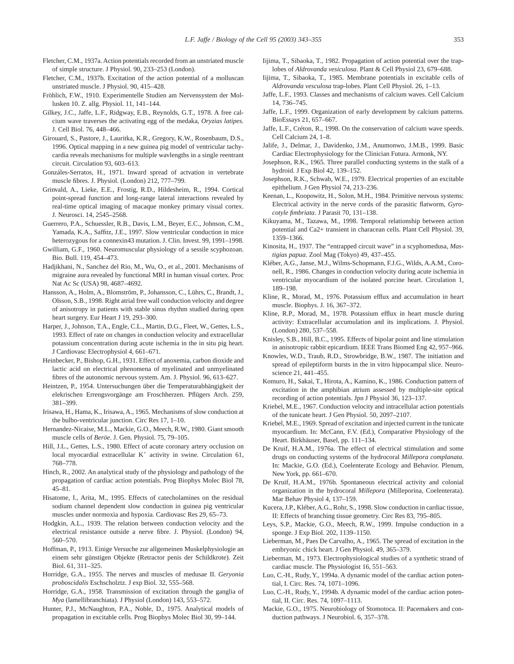- Fletcher, C.M., 1937a. Action potentials recorded from an unstriated muscle of simple structure. J Physiol. 90, 233–253 (London).
- Fletcher, C.M., 1937b. Excitation of the action potential of a molluscan unstriated muscle. J Physiol. 90, 415–428.
- Fröhlich, F.W., 1910. Experimentelle Studien am Nervensystem der Mollusken 10. Z. allg. Physiol. 11, 141–144.
- Gilkey, J.C., Jaffe, L.F., Ridgway, E.B., Reynolds, G.T., 1978. A free calcium wave traverses the activating egg of the medaka, *Oryzias latipes*. J. Cell Biol. 76, 448–466.
- Girouard, S., Pastore, J., Lauritka, K.R., Gregory, K.W., Rosenbaum, D.S., 1996. Optical mapping in a new guinea pig model of ventricular tachycardia reveals mechanisms for multiple wavlengths in a single reentrant circuit. Circulation 93, 603–613.
- Gonzáles-Serratos, H., 1971. Inward spread of actvation in vertebrate muscle fibres. J. Physiol. (London) 212, 777–799.
- Grinvald, A., Lieke, E.E., Frostig, R.D., Hildesheim, R., 1994. Cortical point-spread function and long-range lateral interactions revealed by real-time optical imaging of macaque monkey primary visual cortex. J. Neurosci. 14, 2545–2568.
- Guerrero, P.A., Schuessler, R.B., Davis, L.M., Beyer, E.C., Johnson, C.M., Yamada, K.A., Saffitz, J.E., 1997. Slow ventricular conduction in mice heterozygous for a connexin43 mutation. J. Clin. Invest. 99, 1991–1998.
- Gwilliam, G.F., 1960. Neuromuscular physiology of a sessile scyphozoan. Bio. Bull. 119, 454–473.
- Hadjikhani, N., Sanchez del Rio, M., Wu, O., et al., 2001. Mechanisms of migraine aura revealed by functional MRI in human visual cortex. Proc Nat Ac Sc (USA) 98, 4687–4692.
- Hansson, A., Holm, A., Blomström, P., Johansson, C., Lührs, C., Brandt, J., Olsson, S.B., 1998. Right atrial free wall conduction velocity and degree of anisotropy in patients with stable sinus rhythm studied during open heart surgery. Eur Heart J 19, 293–300.
- Harper, J., Johnson, T.A., Engle, C.L., Martin, D.G., Fleet, W., Gettes, L.S., 1993. Effect of rate on changes in conduction velocity and extracellular potassium concentration during acute ischemia in the in situ pig heart. J Cardiovasc Electrophysiol 4, 661–671.
- Heinbecker, P., Bishop, G.H., 1931. Effect of anoxemia, carbon dioxide and lactic acid on electrical phenomena of myelinated and unmyelinated fibres of the autonomic nervous system. Am. J. Physiol. 96, 613–627.
- Heintzen, P., 1954. Untersuchungen über die Temperaturabhängigkeit der elekrischen Errengsvorgänge am Froschherzen. Pflügers Arch. 259, 381–399.
- Irisawa, H., Hama, K., Irisawa, A., 1965. Mechanisms of slow conduction at the bulbo-ventricular junction. Circ Res 17, 1–10.
- Hernandez-Nicaise, M.L., Mackie, G.O., Meech, R.W., 1980. Giant smooth muscle cells of *Beröe*. J. Gen. Physiol. 75, 79–105.
- Hill, J.L., Gettes, L.S., 1980. Effect of acute coronary artery occlusion on local myocardial extracellular  $K^+$  activity in swine. Circulation 61, 768–778.
- Hinch, R., 2002. An analytical study of the physiology and pathology of the propagation of cardiac action potentials. Prog Biophys Molec Biol 78, 45–81.
- Hisatome, I., Arita, M., 1995. Effects of catecholamines on the residual sodium channel dependent slow conduction in guinea pig ventricular muscles under normoxia and hypoxia. Cardiovasc Res 29, 65–73.
- Hodgkin, A.L., 1939. The relation between conduction velocity and the electrical resistance outside a nerve fibre. J. Physiol. (London) 94, 560–570.
- Hoffman, P., 1913. Einige Versuche zur allgemeinen Muskelphysiologie an einem sehr günstigen Objekte (Retractor penis der Schildkrote). Zeit Biol. 61, 311–325.
- Horridge, G.A., 1955. The nerves and muscles of medusae II. *Geryonia proboscidalis* Eschscholztz. J exp Biol. 32, 555–568.
- Horridge, G.A., 1958. Transmission of excitation through the ganglia of *Mya* (lamellibranchiata). J Physiol (London) 143, 553–572.
- Hunter, P.J., McNaughton, P.A., Noble, D., 1975. Analytical models of propagation in excitable cells. Prog Biophys Molec Biol 30, 99–144.
- Iijima, T., Sibaoka, T., 1982. Propagation of action potential over the traplobes of *Aldrovanda vesiculosa*. Plant & Cell Physiol 23, 679–688.
- Iijima, T., Sibaoka, T., 1985. Membrane potentials in excitable cells of *Aldrovanda vesculosa* trap-lobes. Plant Cell Physiol. 26, 1–13.
- Jaffe, L.F., 1993. Classes and mechanisms of calcium waves. Cell Calcium 14, 736–745.
- Jaffe, L.F., 1999. Organization of early development by calcium patterns. BioEssays 21, 657–667.
- Jaffe, L.F., Créton, R., 1998. On the conservation of calcium wave speeds. Cell Calcium 24, 1–8.
- Jalife, J., Delmar, J., Davidenko, J.M., Anumonwo, J.M.B., 1999. Basic Cardiac Electrophysiology for the Clinician Futura. Armonk, NY.
- Josephson, R.K., 1965. Three parallel conducting systems in the stalk of a hydroid. J Exp Biol 42, 139–152.
- Josephson, R.K., Schwab, W.E., 1979. Electrical properties of an excitable epithelium. J Gen Physiol 74, 213–236.
- Keenan, L., Koopowitz, H., Solon, M.H., 1984. Primitive nervous systems: Electrical activity in the nerve cords of the parasitic flatworm, *Gyrocotyle fimbriata*. J Parasit 70, 131–138.
- Kikuyama, M., Tazawa, M., 1998. Temporal relationship between action potential and Ca2+ transient in characean cells. Plant Cell Physiol. 39, 1359–1366.
- Kinosita, H., 1937. The "entrapped circuit wave" in a scyphomedusa, *Mastigias papua*. Zool Mag (Tokyo) 49, 437–455.
- Kléber, A.G., Janse, M.J., Wilms-Schopmann, F.J.G., Wilds, A.A.M., Coronell, R., 1986. Changes in conduction velocity during acute ischemia in ventricular myocardium of the isolated porcine heart. Circulation 1, 189–198.
- Kline, R., Morad, M., 1976. Potassium efflux and accumulation in heart muscle. Biophys. J. 16, 367–372.
- Kline, R.P., Morad, M., 1978. Potassium efflux in heart muscle during activity: Extracellular accumulation and its implications. J. Physiol. (London) 280, 537–558.
- Knisley, S.B., Hill, B.C., 1995. Effects of bipolar point and line stimulation in anisotropic rabbit epicardium. IEEE Trans Biomed Eng 42, 957–966.
- Knowles, W.D., Traub, R.D., Strowbridge, B.W., 1987. The initiation and spread of epileptiform bursts in the in vitro hippocampal slice. Neuroscience 21, 441–455.
- Komuro, H., Sakai, T., Hirota, A., Kamino, K., 1986. Conduction pattern of excitation in the amphibian atrium assessed by multiple-site optical recording of action potentials. Jpn J Physiol 36, 123–137.
- Kriebel, M.E., 1967. Conduction velocity and intracellular action potentials of the tunicate heart. J Gen Physiol. 50, 2097–2107.
- Kriebel, M.E., 1969. Spread of excitation and injected current in the tunicate myocardium. In: McCann, F.V. (Ed.), Comparative Physiology of the Heart. Birkhäuser, Basel, pp. 111–134.
- De Kruif, H.A.M., 1976a. The effect of electrical stimulation and some drugs on conducting systems of the hydrocoral *Millepora complanata*. In: Mackie, G.O. (Ed.), Coelenterate Ecology and Behavior. Plenum, New York, pp. 661–670.
- De Kruif, H.A.M., 1976b. Spontaneous electrical activity and colonial organization in the hydrocoral *Millepora* (Milleporina, Coelenterata). Mar Behav Physiol 4, 137–159.
- Kucera, J.P., Kléber, A.G., Rohr, S., 1998. Slow conduction in cardiac tissue, II: Effects of branching tissue geometry. Circ Res 83, 795–805.
- Leys, S.P., Mackie, G.O., Meech, R.W., 1999. Impulse conduction in a sponge. J Exp Biol. 202, 1139–1150.
- Lieberman, M., Paes De Carvalho, A., 1965. The spread of excitation in the embryonic chick heart. J Gen Physiol. 49, 365–379.
- Lieberman, M., 1973. Electrophysiological studies of a synthetic strand of cardiac muscle. The Physiologist 16, 551–563.
- Luo, C.-H., Rudy, Y., 1994a. A dynamic model of the cardiac action potential, I. Circ. Res. 74, 1071–1096.
- Luo, C.-H., Rudy, Y., 1994b. A dynamic model of the cardiac action potential, II. Circ. Res. 74, 1097–1113.
- Mackie, G.O., 1975. Neurobiology of Stomotoca. II: Pacemakers and conduction pathways. J Neurobiol. 6, 357–378.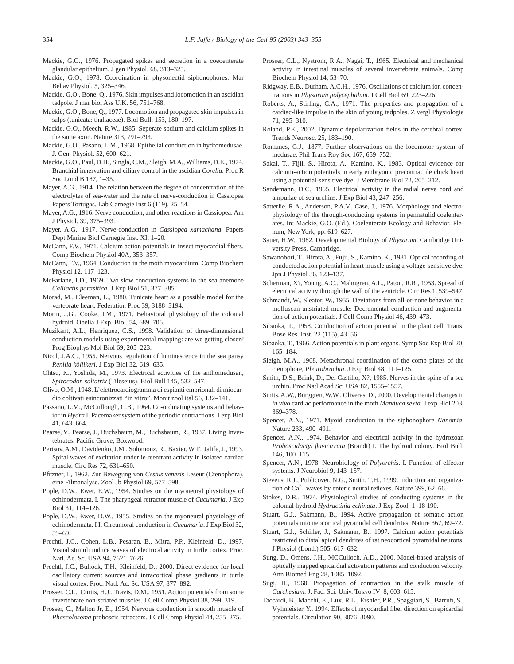- Mackie, G.O., 1976. Propagated spikes and secretion in a coeoenterate glandular epithelium. J gen Physiol. 68, 313–325.
- Mackie, G.O., 1978. Coordination in physonectid siphonophores. Mar Behav Physiol. 5, 325–346.
- Mackie, G.O., Bone, Q., 1976. Skin impulses and locomotion in an ascidian tadpole. J mar biol Ass U.K. 56, 751–768.
- Mackie, G.O., Bone, Q., 1977. Locomotion and propagated skin impulses in salps (tunicata: thaliaceae). Biol Bull. 153, 180–197.
- Mackie, G.O., Meech, R.W., 1985. Seperate sodium and calcium spikes in the same axon. Nature 313, 791–793.
- Mackie, G.O., Pasano, L.M., 1968. Epithelial conduction in hydromedusae. J. Gen. Physiol. 52, 600–621.
- Mackie, G.O., Paul, D.H., Singla, C.M., Sleigh, M.A., Williams, D.E., 1974. Branchial innervation and ciliary control in the ascidian *Corella*. Proc R Soc Lond B 187, 1–35.
- Mayer, A.G., 1914. The relation between the degree of concentration of the electrolytes of sea-water and the rate of nerve-conduction in Cassiopea Papers Tortugas. Lab Carnegie Inst 6 (119), 25–54.
- Mayer, A.G., 1916. Nerve conduction, and other reactions in Cassiopea. Am J Physiol. 39, 375–393.
- Mayer, A.G., 1917. Nerve-conduction in *Cassiopea xamachana*. Papers Dept Marine Biol Carnegie Inst. XI, 1–20.
- McCann, F.V., 1971. Calcium action potentials in insect myocardial fibers. Comp Biochem Physiol 40A, 353–357.
- McCann, F.V., 1964. Conduction in the moth myocardium. Comp Biochem Physiol 12, 117–123.
- McFarlane, I.D., 1969. Two slow conduction systems in the sea anemone *Calliactis parasitica*. J Exp Biol 51, 377–385.
- Morad, M., Cleeman, L., 1980. Tunicate heart as a possible model for the vertebrate heart. Federation Proc 39, 3188–3194.
- Morin, J.G., Cooke, I.M., 1971. Behavioral physiology of the colonial hydroid. Obelia J Exp. Biol. 54, 689–706.
- Muzikant, A.L., Henriquez, C.S., 1998. Validation of three-dimensional conduction models using experimental mapping: are we getting closer? Prog Biophys Mol Biol 69, 205–223.
- Nicol, J.A.C., 1955. Nervous regulation of luminescence in the sea pansy *Renilla köllikeri*. J Exp Biol 32, 619–635.
- Ohtsu, K., Yoshida, M., 1973. Electrical activities of the anthomedusan, *Spirocodon saltatrix* (Tileseius). Biol Bull 145, 532–547.
- Olivo, O.M., 1948. L'elettrocardiogramma di espianti embrionali di miocardio coltivati esincronizzati "in vitro". Monit zool ital 56, 132–141.
- Passano, L.M., McCullough, C.B., 1964. Co-ordinating systems and behavior in *Hydra* I. Pacemaker system of the periodic contractions. J exp Biol 41, 643–664.
- Pearse, V., Pearse, J., Buchsbaum, M., Buchsbaum, R., 1987. Living Invertebrates. Pacific Grove, Boxwood.
- Pertsov, A.M., Davidenko, J.M., Solomonz, R., Baxter, W.T., Jalife, J., 1993. Spiral waves of excitation underlie reentrant activity in isolated cardiac muscle. Circ Res 72, 631–650.
- Pfitzner, I., 1962. Zur Bewegung von *Cestus veneris* Leseur (Ctenophora), eine Filmanalyse. Zool Jb Physiol 69, 577–598.
- Pople, D.W., Ewer, E.W., 1954. Studies on the myoneural physiology of echinodermata. I. The pharyngeal retractor muscle of *Cucumaria*. J Exp Biol 31, 114–126.
- Pople, D.W., Ewer, D.W., 1955. Studies on the myoneural physiology of echinodermata. I I. Circumoral conduction in *Cucumaria*. J Exp Biol 32, 59–69.
- Prechtl, J.C., Cohen, L.B., Pesaran, B., Mitra, P.P., Kleinfeld, D., 1997. Visual stimuli induce waves of electrical activity in turtle cortex. Proc. Natl. Ac. Sc. USA 94, 7621–7626.
- Prechtl, J.C., Bullock, T.H., Kleinfeld, D., 2000. Direct evidence for local oscillatory current sources and intracortical phase gradients in turtle visual cortex. Proc. Natl. Ac. Sc. USA 97, 877–892.
- Prosser, C.L., Curtis, H.J., Travis, D.M., 1951. Action potentials from some invertebrate non-striated muscles. J Cell Comp Physiol 38, 299–319.
- Prosser, C., Melton Jr, E., 1954. Nervous conduction in smooth muscle of *Phascolosoma* proboscis retractors. J Cell Comp Physiol 44, 255–275.
- Prosser, C.L., Nystrom, R.A., Nagai, T., 1965. Electrical and mechanical activity in intestinal muscles of several invertebrate animals. Comp Biochem Physiol 14, 53–70.
- Ridgway, E.B., Durham, A.C.H., 1976. Oscillations of calcium ion concentrations in *Physarum polycephalum*. J Cell Biol 69, 223–226.
- Roberts, A., Stirling, C.A., 1971. The properties and propagation of a cardiac-like impulse in the skin of young tadpoles. Z vergl Physiologie 71, 295–310.
- Roland, P.E., 2002. Dynamic depolarization fields in the cerebral cortex. Trends Neurosc. 25, 183–190.
- Romanes, G.J., 1877. Further observations on the locomotor system of medusae. Phil Trans Roy Soc 167, 659–752.
- Sakai, T., Fijii, S., Hirota, A., Kamino, K., 1983. Optical evidence for calcium-action potentials in early embryonic precontractile chick heart using a potential-sensitive dye. J Membrane Biol 72, 205–212.
- Sandemann, D.C., 1965. Electrical activity in the radial nerve cord and ampullae of sea urchins. J Exp Biol 43, 247–256.
- Satterlie, R.A., Anderson, P.A.V., Case, J., 1976. Morphology and electrophysiology of the through-conducting systems in pennatulid coelenterates. In: Mackie, G.O. (Ed.), Coelenterate Ecology and Behavior. Plenum, New York, pp. 619–627.
- Sauer, H.W., 1982. Developmental Biology of *Physarum*. Cambridge University Press, Cambridge.
- Sawanobori, T., Hirota, A., Fujii, S., Kamino, K., 1981. Optical recording of conducted action potential in heart muscle using a voltage-sensitive dye. Jpn J Physiol 36, 123–137.
- Scherman, X?, Young, A.C., Malmgren, A.L., Paton, R.R., 1953. Spread of electrical activity through the wall of the ventricle. Circ Res 1, 539–547.
- Schmandt, W., Sleator, W., 1955. Deviations from all-or-none behavior in a molluscan unstriated muscle: Decremental conduction and augmentation of action potentials. J Cell Comp Physiol 46, 439–473.
- Sibaoka, T., 1958. Conduction of action potential in the plant cell. Trans. Bose Res. Inst. 22 (115), 43–56.
- Sibaoka, T., 1966. Action potentials in plant organs. Symp Soc Exp Biol 20, 165–184.
- Sleigh, M.A., 1968. Metachronal coordination of the comb plates of the ctenophore, *Pleurobrachia*. J Exp Biol 48, 111–125.
- Smith, D.S., Brink, D., Del Castillo, X?, 1985. Nerves in the spine of a sea urchin. Proc Natl Acad Sci USA 82, 1555–1557.
- Smits, A.W., Burggren, W.W., Oliveras, D., 2000. Developmental changes in *in vivo* cardiac performance in the moth *Manduca sexta*. J exp Biol 203, 369–378.
- Spencer, A.N., 1971. Myoid conduction in the siphonophore *Nanomia*. Nature 233, 490–491.
- Spencer, A.N., 1974. Behavior and electrical activity in the hydrozoan *Proboscidactyl flavicirrata* (Brandt) I. The hydroid colony. Biol Bull. 146, 100–115.
- Spencer, A.N., 1978. Neurobiology of *Polyorchis*. I. Function of effector systems. J Neurobiol 9, 143–157.
- Stevens, R.J., Publicover, N.G., Smith, T.H., 1999. Induction and organization of  $Ca^{2+}$  waves by enteric neural reflexes. Nature 399, 62–66.
- Stokes, D.R., 1974. Physiological studies of conducting systems in the colonial hydroid *Hydractinia echinata*. J Exp Zool, 1–18 190.
- Stuart, G.J., Sakmann, B., 1994. Active propagation of somatic action potentials into neocortical pyramidal cell dendrites. Nature 367, 69–72.
- Stuart, G.J., Schiller, J., Sakmann, B., 1997. Calcium action potentials restricted to distal apical dendrites of rat neocortical pyramidal neurons. J Physiol (Lond.) 505, 617–632.
- Sung, D., Omens, J.H., MCCulloch, A.D., 2000. Model-based analysis of optically mapped epicardial activation patterns and conduction velocity. Ann Biomed Eng 28, 1085–1092.
- Sugi, H., 1960. Propagation of contraction in the stalk muscle of *Carchesium*. J. Fac. Sci. Univ. Tokyo IV–8, 603–615.
- Taccardi, B., Macchi, E., Lux, R.L., Ershler, P.R., Spaggiari, S., Barrufi, S., Vyhmeister, Y., 1994. Effects of myocardial fiber direction on epicardial potentials. Circulation 90, 3076–3090.